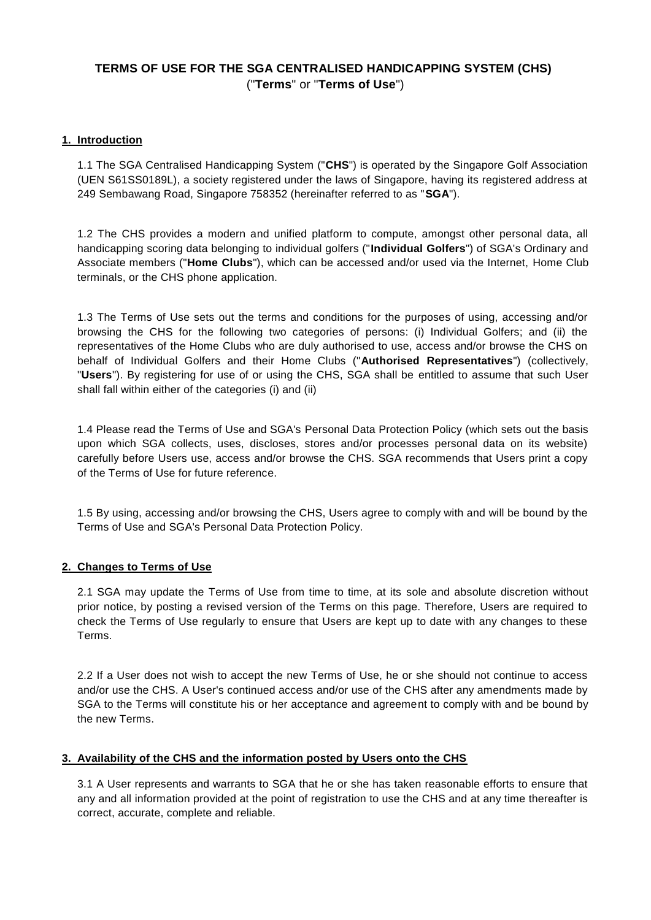# **TERMS OF USE FOR THE SGA CENTRALISED HANDICAPPING SYSTEM (CHS)** ("**Terms**" or "**Terms of Use**")

# **1. Introduction**

1.1 The SGA Centralised Handicapping System ("**CHS**") is operated by the Singapore Golf Association (UEN S61SS0189L), a society registered under the laws of Singapore, having its registered address at 249 Sembawang Road, Singapore 758352 (hereinafter referred to as "**SGA**").

1.2 The CHS provides a modern and unified platform to compute, amongst other personal data, all handicapping scoring data belonging to individual golfers ("**Individual Golfers**") of SGA's Ordinary and Associate members ("**Home Clubs**"), which can be accessed and/or used via the Internet, Home Club terminals, or the CHS phone application.

1.3 The Terms of Use sets out the terms and conditions for the purposes of using, accessing and/or browsing the CHS for the following two categories of persons: (i) Individual Golfers; and (ii) the representatives of the Home Clubs who are duly authorised to use, access and/or browse the CHS on behalf of Individual Golfers and their Home Clubs ("**Authorised Representatives**") (collectively, "**Users**"). By registering for use of or using the CHS, SGA shall be entitled to assume that such User shall fall within either of the categories (i) and (ii)

1.4 Please read the Terms of Use and SGA's [Personal Data Protection Policy](http://www.sga.org.sg/sga-personal-data-protection-policy/) (which sets out the basis upon which SGA collects, uses, discloses, stores and/or processes personal data on its website) carefully before Users use, access and/or browse the CHS. SGA recommends that Users print a copy of the Terms of Use for future reference.

1.5 By using, accessing and/or browsing the CHS, Users agree to comply with and will be bound by the Terms of Use and SGA's Personal Data Protection Policy.

# **2. Changes to Terms of Use**

2.1 SGA may update the Terms of Use from time to time, at its sole and absolute discretion without prior notice, by posting a revised version of the Terms on this page. Therefore, Users are required to check the Terms of Use regularly to ensure that Users are kept up to date with any changes to these Terms.

2.2 If a User does not wish to accept the new Terms of Use, he or she should not continue to access and/or use the CHS. A User's continued access and/or use of the CHS after any amendments made by SGA to the Terms will constitute his or her acceptance and agreement to comply with and be bound by the new Terms.

# **3. Availability of the CHS and the information posted by Users onto the CHS**

3.1 A User represents and warrants to SGA that he or she has taken reasonable efforts to ensure that any and all information provided at the point of registration to use the CHS and at any time thereafter is correct, accurate, complete and reliable.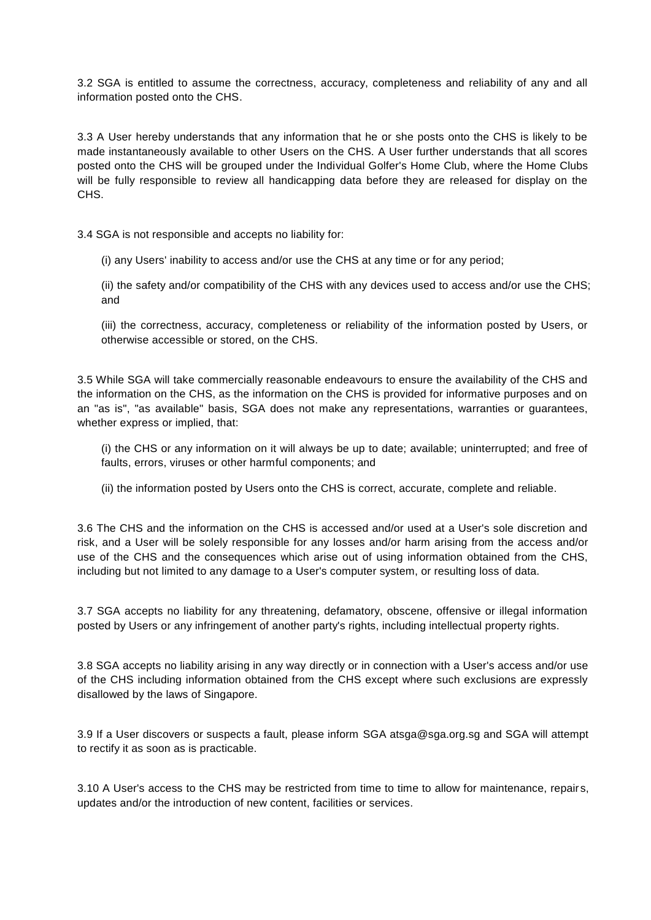3.2 SGA is entitled to assume the correctness, accuracy, completeness and reliability of any and all information posted onto the CHS.

3.3 A User hereby understands that any information that he or she posts onto the CHS is likely to be made instantaneously available to other Users on the CHS. A User further understands that all scores posted onto the CHS will be grouped under the Individual Golfer's Home Club, where the Home Clubs will be fully responsible to review all handicapping data before they are released for display on the CHS.

3.4 SGA is not responsible and accepts no liability for:

(i) any Users' inability to access and/or use the CHS at any time or for any period;

(ii) the safety and/or compatibility of the CHS with any devices used to access and/or use the CHS; and

(iii) the correctness, accuracy, completeness or reliability of the information posted by Users, or otherwise accessible or stored, on the CHS.

3.5 While SGA will take commercially reasonable endeavours to ensure the availability of the CHS and the information on the CHS, as the information on the CHS is provided for informative purposes and on an "as is", "as available" basis, SGA does not make any representations, warranties or guarantees, whether express or implied, that:

(i) the CHS or any information on it will always be up to date; available; uninterrupted; and free of faults, errors, viruses or other harmful components; and

(ii) the information posted by Users onto the CHS is correct, accurate, complete and reliable.

3.6 The CHS and the information on the CHS is accessed and/or used at a User's sole discretion and risk, and a User will be solely responsible for any losses and/or harm arising from the access and/or use of the CHS and the consequences which arise out of using information obtained from the CHS, including but not limited to any damage to a User's computer system, or resulting loss of data.

3.7 SGA accepts no liability for any threatening, defamatory, obscene, offensive or illegal information posted by Users or any infringement of another party's rights, including intellectual property rights.

3.8 SGA accepts no liability arising in any way directly or in connection with a User's access and/or use of the CHS including information obtained from the CHS except where such exclusions are expressly disallowed by the laws of Singapore.

3.9 If a User discovers or suspects a fault, please inform SGA a[tsga@sga.org.sg](mailto:sga@sga.org.sg?Subject=CHS%20Feedback) and SGA will attempt to rectify it as soon as is practicable.

3.10 A User's access to the CHS may be restricted from time to time to allow for maintenance, repair s, updates and/or the introduction of new content, facilities or services.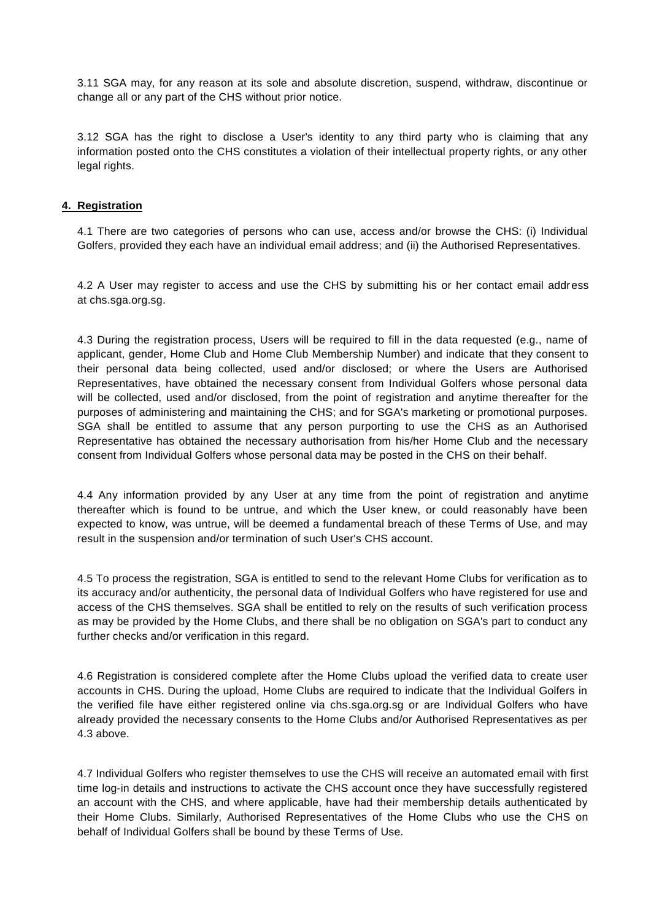3.11 SGA may, for any reason at its sole and absolute discretion, suspend, withdraw, discontinue or change all or any part of the CHS without prior notice.

3.12 SGA has the right to disclose a User's identity to any third party who is claiming that any information posted onto the CHS constitutes a violation of their intellectual property rights, or any other legal rights.

### **4. Registration**

4.1 There are two categories of persons who can use, access and/or browse the CHS: (i) Individual Golfers, provided they each have an individual email address; and (ii) the Authorised Representatives.

4.2 A User may register to access and use the CHS by submitting his or her contact email address at [chs.sga.org.sg.](https://chs.sga.org.sg/)

4.3 During the registration process, Users will be required to fill in the data requested (e.g., name of applicant, gender, Home Club and Home Club Membership Number) and indicate that they consent to their personal data being collected, used and/or disclosed; or where the Users are Authorised Representatives, have obtained the necessary consent from Individual Golfers whose personal data will be collected, used and/or disclosed, from the point of registration and anytime thereafter for the purposes of administering and maintaining the CHS; and for SGA's marketing or promotional purposes. SGA shall be entitled to assume that any person purporting to use the CHS as an Authorised Representative has obtained the necessary authorisation from his/her Home Club and the necessary consent from Individual Golfers whose personal data may be posted in the CHS on their behalf.

4.4 Any information provided by any User at any time from the point of registration and anytime thereafter which is found to be untrue, and which the User knew, or could reasonably have been expected to know, was untrue, will be deemed a fundamental breach of these Terms of Use, and may result in the suspension and/or termination of such User's CHS account.

4.5 To process the registration, SGA is entitled to send to the relevant Home Clubs for verification as to its accuracy and/or authenticity, the personal data of Individual Golfers who have registered for use and access of the CHS themselves. SGA shall be entitled to rely on the results of such verification process as may be provided by the Home Clubs, and there shall be no obligation on SGA's part to conduct any further checks and/or verification in this regard.

4.6 Registration is considered complete after the Home Clubs upload the verified data to create user accounts in CHS. During the upload, Home Clubs are required to indicate that the Individual Golfers in the verified file have either registered online via chs.sga.org.sg or are Individual Golfers who have already provided the necessary consents to the Home Clubs and/or Authorised Representatives as per 4.3 above.

4.7 Individual Golfers who register themselves to use the CHS will receive an automated email with first time log-in details and instructions to activate the CHS account once they have successfully registered an account with the CHS, and where applicable, have had their membership details authenticated by their Home Clubs. Similarly, Authorised Representatives of the Home Clubs who use the CHS on behalf of Individual Golfers shall be bound by these Terms of Use.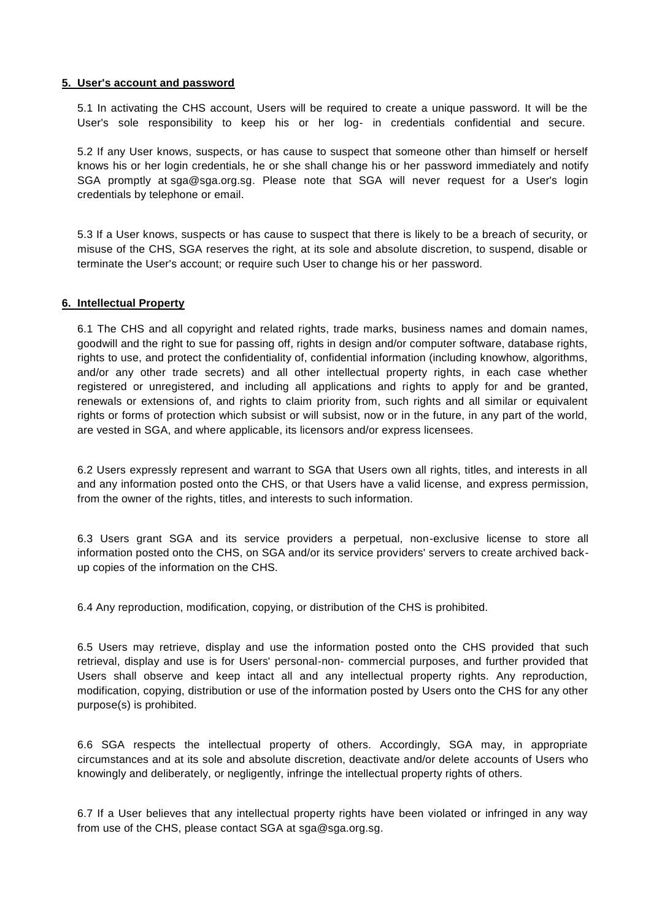#### **5. User's account and password**

5.1 In activating the CHS account, Users will be required to create a unique password. It will be the User's sole responsibility to keep his or her log- in credentials confidential and secure.

5.2 If any User knows, suspects, or has cause to suspect that someone other than himself or herself knows his or her login credentials, he or she shall change his or her password immediately and notify SGA promptly at [sga@sga.org.sg.](mailto:sga@sga.org.sg?Subject=CHS%20Feedback) Please note that SGA will never request for a User's login credentials by telephone or email.

5.3 If a User knows, suspects or has cause to suspect that there is likely to be a breach of security, or misuse of the CHS, SGA reserves the right, at its sole and absolute discretion, to suspend, disable or terminate the User's account; or require such User to change his or her password.

#### **6. Intellectual Property**

6.1 The CHS and all copyright and related rights, trade marks, business names and domain names, goodwill and the right to sue for passing off, rights in design and/or computer software, database rights, rights to use, and protect the confidentiality of, confidential information (including knowhow, algorithms, and/or any other trade secrets) and all other intellectual property rights, in each case whether registered or unregistered, and including all applications and rights to apply for and be granted, renewals or extensions of, and rights to claim priority from, such rights and all similar or equivalent rights or forms of protection which subsist or will subsist, now or in the future, in any part of the world, are vested in SGA, and where applicable, its licensors and/or express licensees.

6.2 Users expressly represent and warrant to SGA that Users own all rights, titles, and interests in all and any information posted onto the CHS, or that Users have a valid license, and express permission, from the owner of the rights, titles, and interests to such information.

6.3 Users grant SGA and its service providers a perpetual, non-exclusive license to store all information posted onto the CHS, on SGA and/or its service providers' servers to create archived backup copies of the information on the CHS.

6.4 Any reproduction, modification, copying, or distribution of the CHS is prohibited.

6.5 Users may retrieve, display and use the information posted onto the CHS provided that such retrieval, display and use is for Users' personal-non- commercial purposes, and further provided that Users shall observe and keep intact all and any intellectual property rights. Any reproduction, modification, copying, distribution or use of the information posted by Users onto the CHS for any other purpose(s) is prohibited.

6.6 SGA respects the intellectual property of others. Accordingly, SGA may, in appropriate circumstances and at its sole and absolute discretion, deactivate and/or delete accounts of Users who knowingly and deliberately, or negligently, infringe the intellectual property rights of others.

6.7 If a User believes that any intellectual property rights have been violated or infringed in any way from use of the CHS, please contact SGA at [sga@sga.org.sg.](mailto:sga@sga.org.sg?Subject=CHS%20Feedback)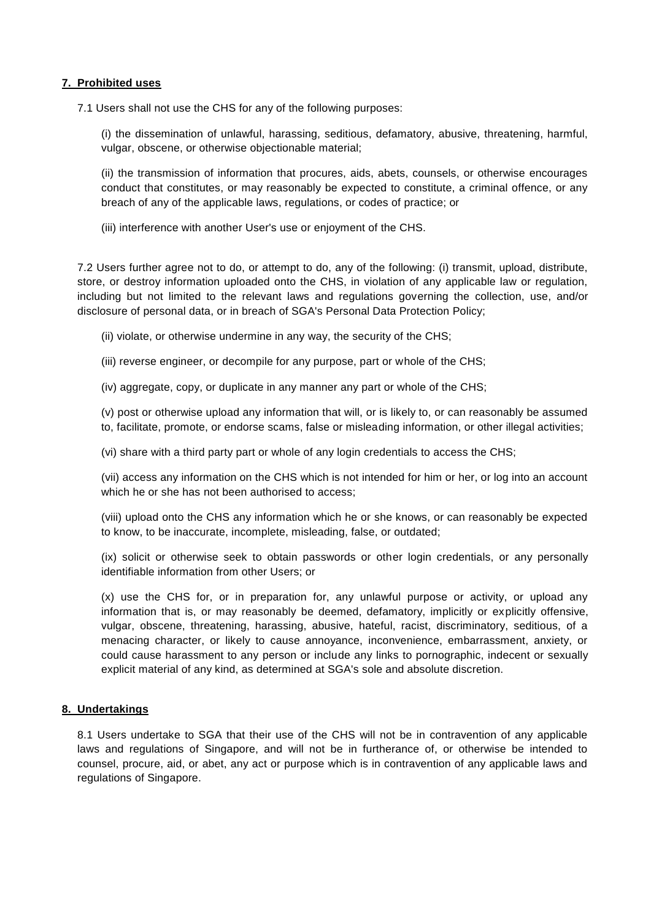# **7. Prohibited uses**

7.1 Users shall not use the CHS for any of the following purposes:

(i) the dissemination of unlawful, harassing, seditious, defamatory, abusive, threatening, harmful, vulgar, obscene, or otherwise objectionable material;

(ii) the transmission of information that procures, aids, abets, counsels, or otherwise encourages conduct that constitutes, or may reasonably be expected to constitute, a criminal offence, or any breach of any of the applicable laws, regulations, or codes of practice; or

(iii) interference with another User's use or enjoyment of the CHS.

7.2 Users further agree not to do, or attempt to do, any of the following: (i) transmit, upload, distribute, store, or destroy information uploaded onto the CHS, in violation of any applicable law or regulation, including but not limited to the relevant laws and regulations governing the collection, use, and/or disclosure of personal data, or in breach of SGA's Personal Data Protection Policy;

(ii) violate, or otherwise undermine in any way, the security of the CHS;

(iii) reverse engineer, or decompile for any purpose, part or whole of the CHS;

(iv) aggregate, copy, or duplicate in any manner any part or whole of the CHS;

(v) post or otherwise upload any information that will, or is likely to, or can reasonably be assumed to, facilitate, promote, or endorse scams, false or misleading information, or other illegal activities;

(vi) share with a third party part or whole of any login credentials to access the CHS;

(vii) access any information on the CHS which is not intended for him or her, or log into an account which he or she has not been authorised to access:

(viii) upload onto the CHS any information which he or she knows, or can reasonably be expected to know, to be inaccurate, incomplete, misleading, false, or outdated;

(ix) solicit or otherwise seek to obtain passwords or other login credentials, or any personally identifiable information from other Users; or

(x) use the CHS for, or in preparation for, any unlawful purpose or activity, or upload any information that is, or may reasonably be deemed, defamatory, implicitly or explicitly offensive, vulgar, obscene, threatening, harassing, abusive, hateful, racist, discriminatory, seditious, of a menacing character, or likely to cause annoyance, inconvenience, embarrassment, anxiety, or could cause harassment to any person or include any links to pornographic, indecent or sexually explicit material of any kind, as determined at SGA's sole and absolute discretion.

# **8. Undertakings**

8.1 Users undertake to SGA that their use of the CHS will not be in contravention of any applicable laws and regulations of Singapore, and will not be in furtherance of, or otherwise be intended to counsel, procure, aid, or abet, any act or purpose which is in contravention of any applicable laws and regulations of Singapore.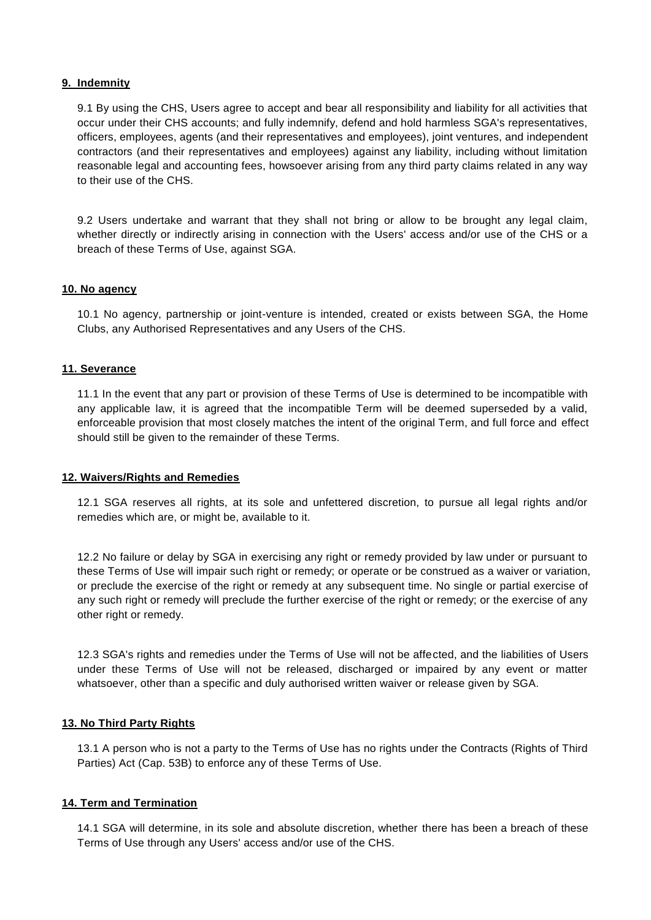# **9. Indemnity**

9.1 By using the CHS, Users agree to accept and bear all responsibility and liability for all activities that occur under their CHS accounts; and fully indemnify, defend and hold harmless SGA's representatives, officers, employees, agents (and their representatives and employees), joint ventures, and independent contractors (and their representatives and employees) against any liability, including without limitation reasonable legal and accounting fees, howsoever arising from any third party claims related in any way to their use of the CHS.

9.2 Users undertake and warrant that they shall not bring or allow to be brought any legal claim, whether directly or indirectly arising in connection with the Users' access and/or use of the CHS or a breach of these Terms of Use, against SGA.

#### **10. No agency**

10.1 No agency, partnership or joint-venture is intended, created or exists between SGA, the Home Clubs, any Authorised Representatives and any Users of the CHS.

#### **11. Severance**

11.1 In the event that any part or provision of these Terms of Use is determined to be incompatible with any applicable law, it is agreed that the incompatible Term will be deemed superseded by a valid, enforceable provision that most closely matches the intent of the original Term, and full force and effect should still be given to the remainder of these Terms.

#### **12. Waivers/Rights and Remedies**

12.1 SGA reserves all rights, at its sole and unfettered discretion, to pursue all legal rights and/or remedies which are, or might be, available to it.

12.2 No failure or delay by SGA in exercising any right or remedy provided by law under or pursuant to these Terms of Use will impair such right or remedy; or operate or be construed as a waiver or variation, or preclude the exercise of the right or remedy at any subsequent time. No single or partial exercise of any such right or remedy will preclude the further exercise of the right or remedy; or the exercise of any other right or remedy.

12.3 SGA's rights and remedies under the Terms of Use will not be affected, and the liabilities of Users under these Terms of Use will not be released, discharged or impaired by any event or matter whatsoever, other than a specific and duly authorised written waiver or release given by SGA.

# **13. No Third Party Rights**

13.1 A person who is not a party to the Terms of Use has no rights under the Contracts (Rights of Third Parties) Act (Cap. 53B) to enforce any of these Terms of Use.

# **14. Term and Termination**

14.1 SGA will determine, in its sole and absolute discretion, whether there has been a breach of these Terms of Use through any Users' access and/or use of the CHS.